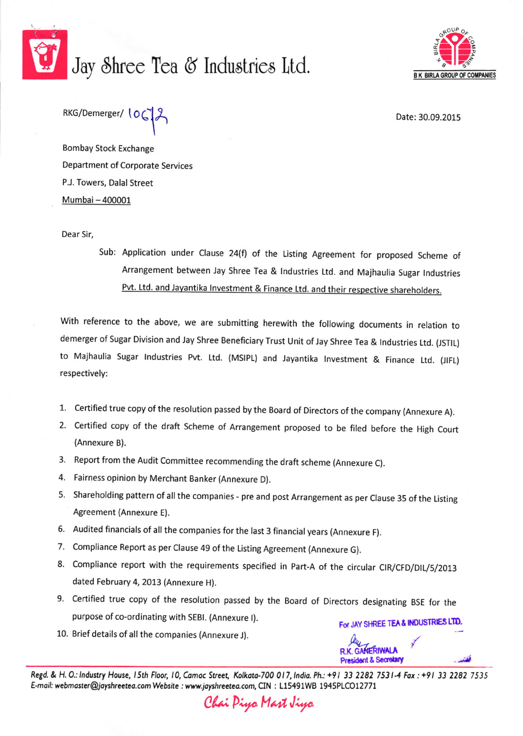

## Jay Shree Tea & Industries Ltd.



RKG/Demerger/ 106

Date: 30.09.2015

**Bombay Stock Exchange** Department of Corporate Services P.J. Towers, Dalal Street Mumbai - 400001

Dear Sir,

Sub: Application under Clause 24(f) of the Listing Agreement for proposed Scheme of Arrangement between Jay Shree Tea & Industries Ltd. and Majhaulia Sugar Industries Pvt. Ltd. and Jayantika Investment & Finance Ltd. and their respective shareholders.

With reference to the above, we are submitting herewith the following documents in relation to demerger of Sugar Division and Jay Shree Beneficiary Trust Unit of Jay Shree Tea & Industries Ltd. (JSTIL) to Majhaulia Sugar Industries Pvt. Ltd. (MSIPL) and Jayantika Investment & Finance Ltd. (JIFL) respectively:

- 1. Certified true copy of the resolution passed by the Board of Directors of the company (Annexure A).
- 2. Certified copy of the draft Scheme of Arrangement proposed to be filed before the High Court (Annexure B).
- 3. Report from the Audit Committee recommending the draft scheme (Annexure C).
- 4. Fairness opinion by Merchant Banker (Annexure D).
- 5. Shareholding pattern of all the companies pre and post Arrangement as per Clause 35 of the Listing Agreement (Annexure E).
- 6. Audited financials of all the companies for the last 3 financial years (Annexure F).
- 7. Compliance Report as per Clause 49 of the Listing Agreement (Annexure G).
- 8. Compliance report with the requirements specified in Part-A of the circular CIR/CFD/DIL/5/2013 dated February 4, 2013 (Annexure H).
- 9. Certified true copy of the resolution passed by the Board of Directors designating BSE for the purpose of co-ordinating with SEBI. (Annexure I). For JAY SHREE TEA & INDUSTRIES LTD.
- 10. Brief details of all the companies (Annexure J).

Regd. & H. O.: Industry House, 15th Floor, 10, Camac Street, Kolkata-700 017, India. Ph.: +91 33 2282 7531-4 Fax: +91 33 2282 7535 E-mail: webmaster@jayshreetea.com Website : www.jayshreetea.com, CIN : L15491WB 1945PLCO12771

Chai Piya Mast Jiya